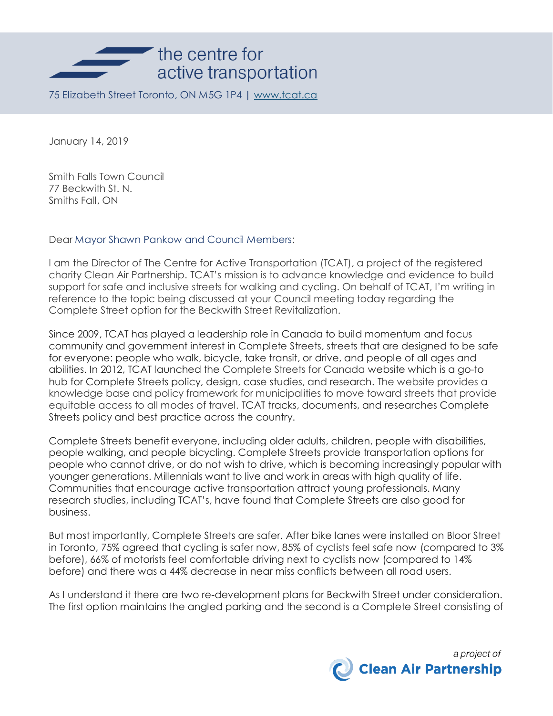

75 Elizabeth Street Toronto, ON M5G 1P4 | [www.tcat.ca](http://www.tcat.ca/)

January 14, 2019

Smith Falls Town Council 77 Beckwith St. N. Smiths Fall, ON

Dear Mayor Shawn Pankow and Council Members:

I am the Director of The Centre for Active Transportation (TCAT), a project of the registered charity Clean Air Partnership. TCAT's mission is to advance knowledge and evidence to build support for safe and inclusive streets for walking and cycling. On behalf of TCAT, I'm writing in reference to the topic being discussed at your Council meeting today regarding the Complete Street option for the Beckwith Street Revitalization.

Since 2009, TCAT has played a leadership role in Canada to build momentum and focus community and government interest in Complete Streets, streets that are designed to be safe for everyone: people who walk, bicycle, take transit, or drive, and people of all ages and abilities. In 2012, TCAT launched the Complete Streets for Canada website which is a go-to hub for Complete Streets policy, design, case studies, and research. The website provides a knowledge base and policy framework for municipalities to move toward streets that provide equitable access to all modes of travel. TCAT tracks, documents, and researches Complete Streets policy and best practice across the country.

Complete Streets benefit everyone, including older adults, children, people with disabilities, people walking, and people bicycling. Complete Streets provide transportation options for people who cannot drive, or do not wish to drive, which is becoming increasingly popular with younger generations. Millennials want to live and work in areas with high quality of life. Communities that encourage active transportation attract young professionals. Many research studies, including TCAT's, have found that Complete Streets are also good for business.

But most importantly, Complete Streets are safer. After bike lanes were installed on Bloor Street in Toronto, 75% agreed that cycling is safer now, 85% of cyclists feel safe now (compared to 3% before), 66% of motorists feel comfortable driving next to cyclists now (compared to 14% before) and there was a 44% decrease in near miss conflicts between all road users.

As I understand it there are two re-development plans for Beckwith Street under consideration. The first option maintains the angled parking and the second is a Complete Street consisting of